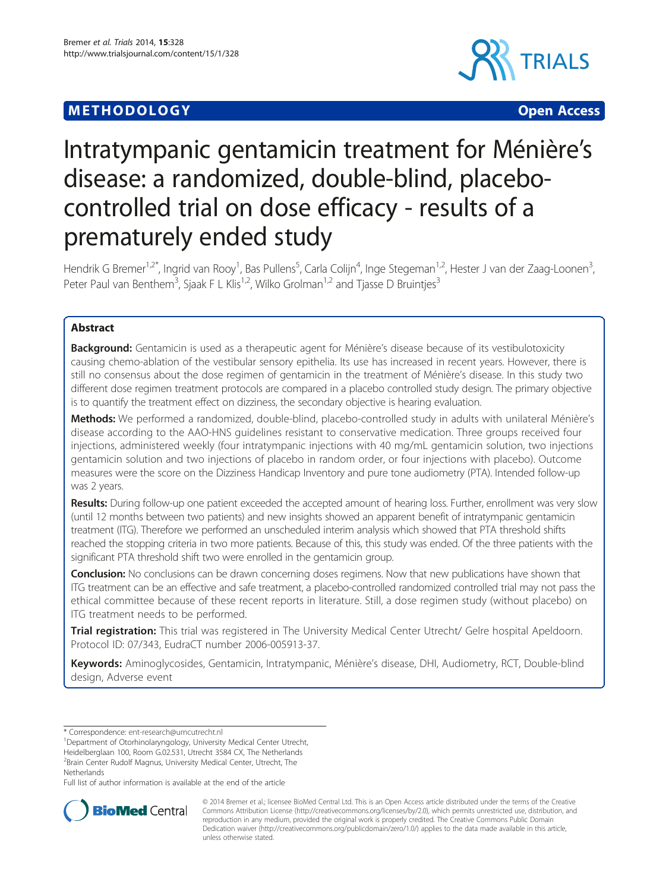# **METHODOLOGY CONSUMING ACCESS**



# Intratympanic gentamicin treatment for Ménière's disease: a randomized, double-blind, placebocontrolled trial on dose efficacy - results of a prematurely ended study

Hendrik G Bremer<sup>1,2\*</sup>, Ingrid van Rooy<sup>1</sup>, Bas Pullens<sup>5</sup>, Carla Colijn<sup>4</sup>, Inge Stegeman<sup>1,2</sup>, Hester J van der Zaag-Loonen<sup>3</sup> , Peter Paul van Benthem<sup>3</sup>, Sjaak F L Klis<sup>1,2</sup>, Wilko Grolman<sup>1,2</sup> and Tjasse D Bruintjes<sup>3</sup>

# Abstract

Background: Gentamicin is used as a therapeutic agent for Ménière's disease because of its vestibulotoxicity causing chemo-ablation of the vestibular sensory epithelia. Its use has increased in recent years. However, there is still no consensus about the dose regimen of gentamicin in the treatment of Ménière's disease. In this study two different dose regimen treatment protocols are compared in a placebo controlled study design. The primary objective is to quantify the treatment effect on dizziness, the secondary objective is hearing evaluation.

Methods: We performed a randomized, double-blind, placebo-controlled study in adults with unilateral Ménière's disease according to the AAO-HNS guidelines resistant to conservative medication. Three groups received four injections, administered weekly (four intratympanic injections with 40 mg/mL gentamicin solution, two injections gentamicin solution and two injections of placebo in random order, or four injections with placebo). Outcome measures were the score on the Dizziness Handicap Inventory and pure tone audiometry (PTA). Intended follow-up was 2 years.

Results: During follow-up one patient exceeded the accepted amount of hearing loss. Further, enrollment was very slow (until 12 months between two patients) and new insights showed an apparent benefit of intratympanic gentamicin treatment (ITG). Therefore we performed an unscheduled interim analysis which showed that PTA threshold shifts reached the stopping criteria in two more patients. Because of this, this study was ended. Of the three patients with the significant PTA threshold shift two were enrolled in the gentamicin group.

Conclusion: No conclusions can be drawn concerning doses regimens. Now that new publications have shown that ITG treatment can be an effective and safe treatment, a placebo-controlled randomized controlled trial may not pass the ethical committee because of these recent reports in literature. Still, a dose regimen study (without placebo) on ITG treatment needs to be performed.

Trial registration: This trial was registered in The University Medical Center Utrecht/ Gelre hospital Apeldoorn. Protocol ID: 07/343, EudraCT number [2006-005913-37.](https://www.clinicaltrialsregister.eu/ctr-search/trial/2006-005913-37/NL)

Keywords: Aminoglycosides, Gentamicin, Intratympanic, Ménière's disease, DHI, Audiometry, RCT, Double-blind design, Adverse event

<sup>1</sup>Department of Otorhinolaryngology, University Medical Center Utrecht, Heidelberglaan 100, Room G.02.531, Utrecht 3584 CX, The Netherlands

2 Brain Center Rudolf Magnus, University Medical Center, Utrecht, The Netherlands

Full list of author information is available at the end of the article



© 2014 Bremer et al.; licensee BioMed Central Ltd. This is an Open Access article distributed under the terms of the Creative Commons Attribution License [\(http://creativecommons.org/licenses/by/2.0\)](http://creativecommons.org/licenses/by/2.0), which permits unrestricted use, distribution, and reproduction in any medium, provided the original work is properly credited. The Creative Commons Public Domain Dedication waiver [\(http://creativecommons.org/publicdomain/zero/1.0/](http://creativecommons.org/publicdomain/zero/1.0/)) applies to the data made available in this article, unless otherwise stated.

<sup>\*</sup> Correspondence: [ent-research@umcutrecht.nl](mailto:ent-research@umcutrecht.nl) <sup>1</sup>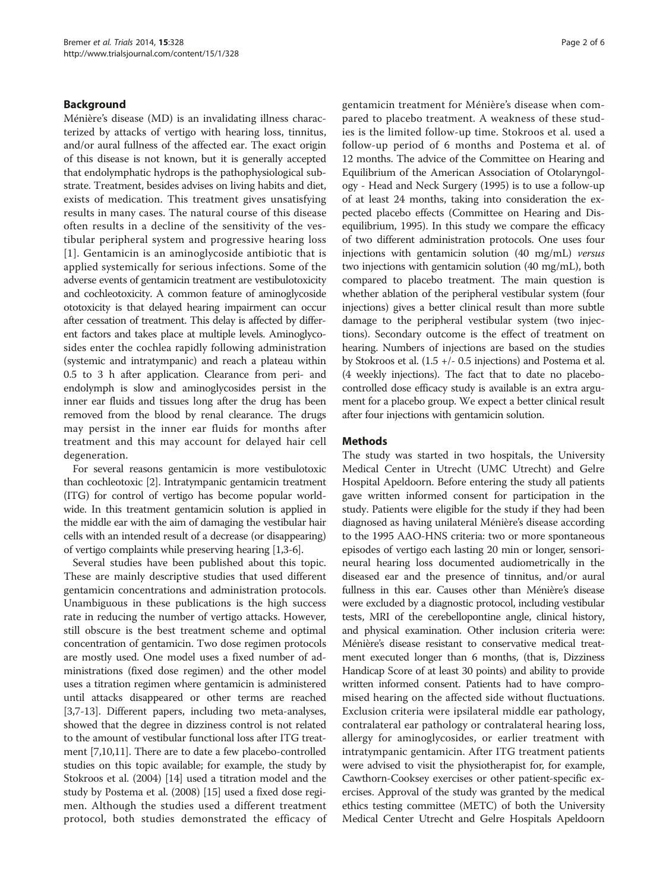# Background

Ménière's disease (MD) is an invalidating illness characterized by attacks of vertigo with hearing loss, tinnitus, and/or aural fullness of the affected ear. The exact origin of this disease is not known, but it is generally accepted that endolymphatic hydrops is the pathophysiological substrate. Treatment, besides advises on living habits and diet, exists of medication. This treatment gives unsatisfying results in many cases. The natural course of this disease often results in a decline of the sensitivity of the vestibular peripheral system and progressive hearing loss [[1](#page-4-0)]. Gentamicin is an aminoglycoside antibiotic that is applied systemically for serious infections. Some of the adverse events of gentamicin treatment are vestibulotoxicity and cochleotoxicity. A common feature of aminoglycoside ototoxicity is that delayed hearing impairment can occur after cessation of treatment. This delay is affected by different factors and takes place at multiple levels. Aminoglycosides enter the cochlea rapidly following administration (systemic and intratympanic) and reach a plateau within 0.5 to 3 h after application. Clearance from peri- and endolymph is slow and aminoglycosides persist in the inner ear fluids and tissues long after the drug has been removed from the blood by renal clearance. The drugs may persist in the inner ear fluids for months after treatment and this may account for delayed hair cell degeneration.

For several reasons gentamicin is more vestibulotoxic than cochleotoxic [\[2\]](#page-4-0). Intratympanic gentamicin treatment (ITG) for control of vertigo has become popular worldwide. In this treatment gentamicin solution is applied in the middle ear with the aim of damaging the vestibular hair cells with an intended result of a decrease (or disappearing) of vertigo complaints while preserving hearing [[1,3](#page-4-0)-[6](#page-4-0)].

Several studies have been published about this topic. These are mainly descriptive studies that used different gentamicin concentrations and administration protocols. Unambiguous in these publications is the high success rate in reducing the number of vertigo attacks. However, still obscure is the best treatment scheme and optimal concentration of gentamicin. Two dose regimen protocols are mostly used. One model uses a fixed number of administrations (fixed dose regimen) and the other model uses a titration regimen where gentamicin is administered until attacks disappeared or other terms are reached [[3,7-13\]](#page-4-0). Different papers, including two meta-analyses, showed that the degree in dizziness control is not related to the amount of vestibular functional loss after ITG treatment [\[7,10,11\]](#page-4-0). There are to date a few placebo-controlled studies on this topic available; for example, the study by Stokroos et al. (2004) [\[14\]](#page-4-0) used a titration model and the study by Postema et al. (2008) [\[15\]](#page-4-0) used a fixed dose regimen. Although the studies used a different treatment protocol, both studies demonstrated the efficacy of gentamicin treatment for Ménière's disease when compared to placebo treatment. A weakness of these studies is the limited follow-up time. Stokroos et al. used a follow-up period of 6 months and Postema et al. of 12 months. The advice of the Committee on Hearing and Equilibrium of the American Association of Otolaryngology - Head and Neck Surgery (1995) is to use a follow-up of at least 24 months, taking into consideration the expected placebo effects (Committee on Hearing and Disequilibrium, 1995). In this study we compare the efficacy of two different administration protocols. One uses four injections with gentamicin solution (40 mg/mL) versus two injections with gentamicin solution (40 mg/mL), both compared to placebo treatment. The main question is whether ablation of the peripheral vestibular system (four injections) gives a better clinical result than more subtle damage to the peripheral vestibular system (two injections). Secondary outcome is the effect of treatment on hearing. Numbers of injections are based on the studies by Stokroos et al. (1.5 +/- 0.5 injections) and Postema et al. (4 weekly injections). The fact that to date no placebocontrolled dose efficacy study is available is an extra argument for a placebo group. We expect a better clinical result after four injections with gentamicin solution.

# Methods

The study was started in two hospitals, the University Medical Center in Utrecht (UMC Utrecht) and Gelre Hospital Apeldoorn. Before entering the study all patients gave written informed consent for participation in the study. Patients were eligible for the study if they had been diagnosed as having unilateral Ménière's disease according to the 1995 AAO-HNS criteria: two or more spontaneous episodes of vertigo each lasting 20 min or longer, sensorineural hearing loss documented audiometrically in the diseased ear and the presence of tinnitus, and/or aural fullness in this ear. Causes other than Ménière's disease were excluded by a diagnostic protocol, including vestibular tests, MRI of the cerebellopontine angle, clinical history, and physical examination. Other inclusion criteria were: Ménière's disease resistant to conservative medical treatment executed longer than 6 months, (that is, Dizziness Handicap Score of at least 30 points) and ability to provide written informed consent. Patients had to have compromised hearing on the affected side without fluctuations. Exclusion criteria were ipsilateral middle ear pathology, contralateral ear pathology or contralateral hearing loss, allergy for aminoglycosides, or earlier treatment with intratympanic gentamicin. After ITG treatment patients were advised to visit the physiotherapist for, for example, Cawthorn-Cooksey exercises or other patient-specific exercises. Approval of the study was granted by the medical ethics testing committee (METC) of both the University Medical Center Utrecht and Gelre Hospitals Apeldoorn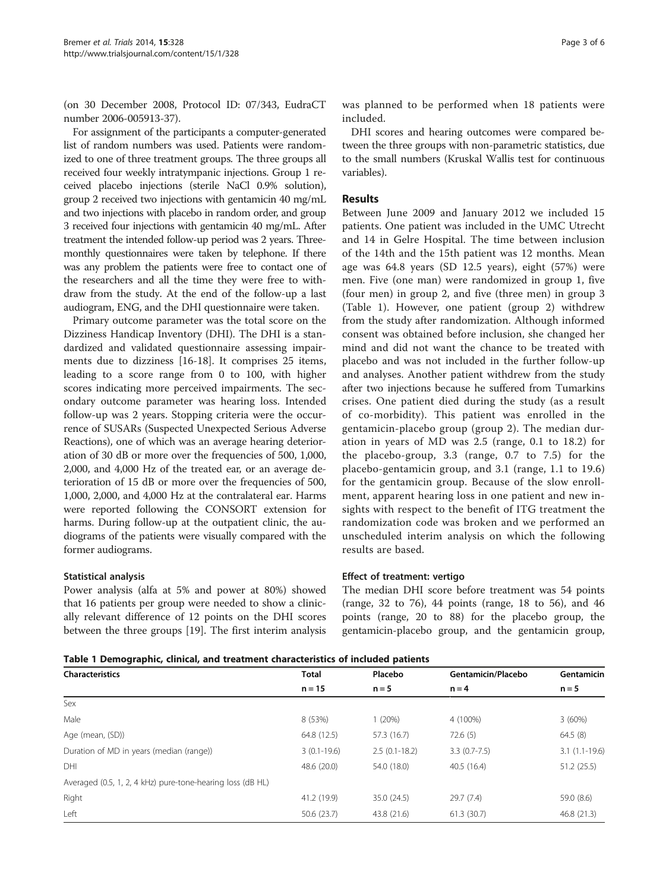(on 30 December 2008, Protocol ID: 07/343, EudraCT number 2006-005913-37).

For assignment of the participants a computer-generated list of random numbers was used. Patients were randomized to one of three treatment groups. The three groups all received four weekly intratympanic injections. Group 1 received placebo injections (sterile NaCl 0.9% solution), group 2 received two injections with gentamicin 40 mg/mL and two injections with placebo in random order, and group 3 received four injections with gentamicin 40 mg/mL. After treatment the intended follow-up period was 2 years. Threemonthly questionnaires were taken by telephone. If there was any problem the patients were free to contact one of the researchers and all the time they were free to withdraw from the study. At the end of the follow-up a last audiogram, ENG, and the DHI questionnaire were taken.

Primary outcome parameter was the total score on the Dizziness Handicap Inventory (DHI). The DHI is a standardized and validated questionnaire assessing impairments due to dizziness [\[16](#page-4-0)-[18\]](#page-4-0). It comprises 25 items, leading to a score range from 0 to 100, with higher scores indicating more perceived impairments. The secondary outcome parameter was hearing loss. Intended follow-up was 2 years. Stopping criteria were the occurrence of SUSARs (Suspected Unexpected Serious Adverse Reactions), one of which was an average hearing deterioration of 30 dB or more over the frequencies of 500, 1,000, 2,000, and 4,000 Hz of the treated ear, or an average deterioration of 15 dB or more over the frequencies of 500, 1,000, 2,000, and 4,000 Hz at the contralateral ear. Harms were reported following the CONSORT extension for harms. During follow-up at the outpatient clinic, the audiograms of the patients were visually compared with the former audiograms.

# Statistical analysis

Power analysis (alfa at 5% and power at 80%) showed that 16 patients per group were needed to show a clinically relevant difference of 12 points on the DHI scores between the three groups [[19](#page-4-0)]. The first interim analysis

DHI scores and hearing outcomes were compared between the three groups with non-parametric statistics, due to the small numbers (Kruskal Wallis test for continuous variables).

## Results

Between June 2009 and January 2012 we included 15 patients. One patient was included in the UMC Utrecht and 14 in Gelre Hospital. The time between inclusion of the 14th and the 15th patient was 12 months. Mean age was 64.8 years (SD 12.5 years), eight (57%) were men. Five (one man) were randomized in group 1, five (four men) in group 2, and five (three men) in group 3 (Table 1). However, one patient (group 2) withdrew from the study after randomization. Although informed consent was obtained before inclusion, she changed her mind and did not want the chance to be treated with placebo and was not included in the further follow-up and analyses. Another patient withdrew from the study after two injections because he suffered from Tumarkins crises. One patient died during the study (as a result of co-morbidity). This patient was enrolled in the gentamicin-placebo group (group 2). The median duration in years of MD was 2.5 (range, 0.1 to 18.2) for the placebo-group, 3.3 (range, 0.7 to 7.5) for the placebo-gentamicin group, and 3.1 (range, 1.1 to 19.6) for the gentamicin group. Because of the slow enrollment, apparent hearing loss in one patient and new insights with respect to the benefit of ITG treatment the randomization code was broken and we performed an unscheduled interim analysis on which the following results are based.

#### Effect of treatment: vertigo

The median DHI score before treatment was 54 points (range, 32 to 76), 44 points (range, 18 to 56), and 46 points (range, 20 to 88) for the placebo group, the gentamicin-placebo group, and the gentamicin group,

Table 1 Demographic, clinical, and treatment characteristics of included patients

| <b>Characteristics</b>                                     | <b>Total</b><br>$n = 15$ | Placebo<br>$n = 5$ | Gentamicin/Placebo<br>$n = 4$ | Gentamicin<br>$n = 5$ |
|------------------------------------------------------------|--------------------------|--------------------|-------------------------------|-----------------------|
|                                                            |                          |                    |                               |                       |
| Male                                                       | 8 (53%)                  | 1(20%)             | 4 (100%)                      | 3(60%)                |
| Age (mean, (SD))                                           | 64.8 (12.5)              | 57.3 (16.7)        | 72.6(5)                       | 64.5(8)               |
| Duration of MD in years (median (range))                   | $3(0.1-19.6)$            | $2.5(0.1-18.2)$    | $3.3(0.7 - 7.5)$              | $3.1(1.1-19.6)$       |
| DHI                                                        | 48.6 (20.0)              | 54.0 (18.0)        | 40.5(16.4)                    | 51.2(25.5)            |
| Averaged (0.5, 1, 2, 4 kHz) pure-tone-hearing loss (dB HL) |                          |                    |                               |                       |
| Right                                                      | 41.2 (19.9)              | 35.0 (24.5)        | 29.7 (7.4)                    | 59.0 (8.6)            |
| Left                                                       | 50.6 (23.7)              | 43.8 (21.6)        | 61.3(30.7)                    | 46.8 (21.3)           |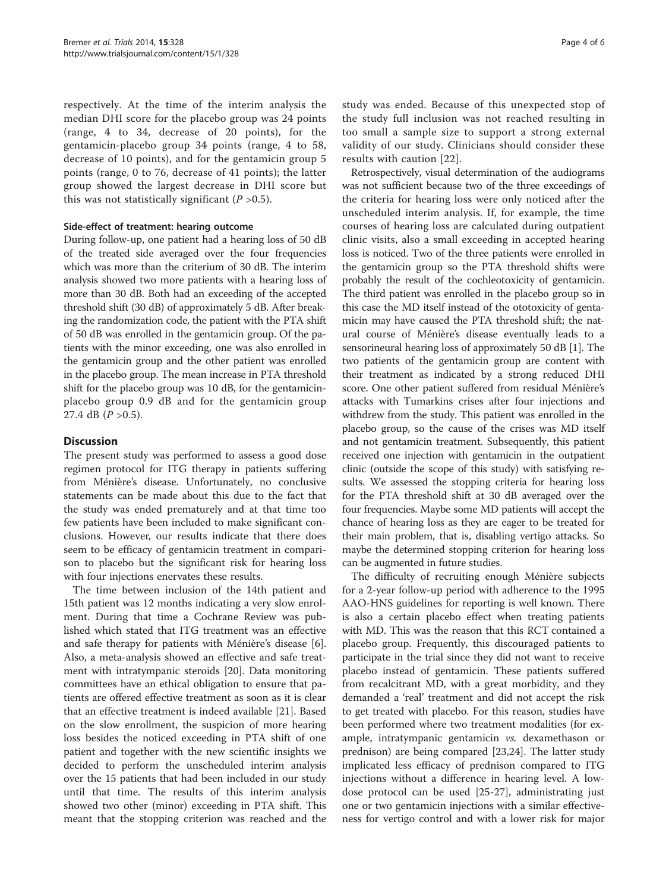respectively. At the time of the interim analysis the median DHI score for the placebo group was 24 points (range, 4 to 34, decrease of 20 points), for the gentamicin-placebo group 34 points (range, 4 to 58, decrease of 10 points), and for the gentamicin group 5 points (range, 0 to 76, decrease of 41 points); the latter group showed the largest decrease in DHI score but this was not statistically significant  $(P > 0.5)$ .

#### Side-effect of treatment: hearing outcome

During follow-up, one patient had a hearing loss of 50 dB of the treated side averaged over the four frequencies which was more than the criterium of 30 dB. The interim analysis showed two more patients with a hearing loss of more than 30 dB. Both had an exceeding of the accepted threshold shift (30 dB) of approximately 5 dB. After breaking the randomization code, the patient with the PTA shift of 50 dB was enrolled in the gentamicin group. Of the patients with the minor exceeding, one was also enrolled in the gentamicin group and the other patient was enrolled in the placebo group. The mean increase in PTA threshold shift for the placebo group was 10 dB, for the gentamicinplacebo group 0.9 dB and for the gentamicin group 27.4 dB  $(P > 0.5)$ .

# **Discussion**

The present study was performed to assess a good dose regimen protocol for ITG therapy in patients suffering from Ménière's disease. Unfortunately, no conclusive statements can be made about this due to the fact that the study was ended prematurely and at that time too few patients have been included to make significant conclusions. However, our results indicate that there does seem to be efficacy of gentamicin treatment in comparison to placebo but the significant risk for hearing loss with four injections enervates these results.

The time between inclusion of the 14th patient and 15th patient was 12 months indicating a very slow enrolment. During that time a Cochrane Review was published which stated that ITG treatment was an effective and safe therapy for patients with Ménière's disease [\[6](#page-4-0)]. Also, a meta-analysis showed an effective and safe treatment with intratympanic steroids [[20\]](#page-5-0). Data monitoring committees have an ethical obligation to ensure that patients are offered effective treatment as soon as it is clear that an effective treatment is indeed available [[21](#page-5-0)]. Based on the slow enrollment, the suspicion of more hearing loss besides the noticed exceeding in PTA shift of one patient and together with the new scientific insights we decided to perform the unscheduled interim analysis over the 15 patients that had been included in our study until that time. The results of this interim analysis showed two other (minor) exceeding in PTA shift. This meant that the stopping criterion was reached and the study was ended. Because of this unexpected stop of the study full inclusion was not reached resulting in too small a sample size to support a strong external validity of our study. Clinicians should consider these results with caution [\[22\]](#page-5-0).

Retrospectively, visual determination of the audiograms was not sufficient because two of the three exceedings of the criteria for hearing loss were only noticed after the unscheduled interim analysis. If, for example, the time courses of hearing loss are calculated during outpatient clinic visits, also a small exceeding in accepted hearing loss is noticed. Two of the three patients were enrolled in the gentamicin group so the PTA threshold shifts were probably the result of the cochleotoxicity of gentamicin. The third patient was enrolled in the placebo group so in this case the MD itself instead of the ototoxicity of gentamicin may have caused the PTA threshold shift; the natural course of Ménière's disease eventually leads to a sensorineural hearing loss of approximately 50 dB [[1\]](#page-4-0). The two patients of the gentamicin group are content with their treatment as indicated by a strong reduced DHI score. One other patient suffered from residual Ménière's attacks with Tumarkins crises after four injections and withdrew from the study. This patient was enrolled in the placebo group, so the cause of the crises was MD itself and not gentamicin treatment. Subsequently, this patient received one injection with gentamicin in the outpatient clinic (outside the scope of this study) with satisfying results. We assessed the stopping criteria for hearing loss for the PTA threshold shift at 30 dB averaged over the four frequencies. Maybe some MD patients will accept the chance of hearing loss as they are eager to be treated for their main problem, that is, disabling vertigo attacks. So maybe the determined stopping criterion for hearing loss can be augmented in future studies.

The difficulty of recruiting enough Ménière subjects for a 2-year follow-up period with adherence to the 1995 AAO-HNS guidelines for reporting is well known. There is also a certain placebo effect when treating patients with MD. This was the reason that this RCT contained a placebo group. Frequently, this discouraged patients to participate in the trial since they did not want to receive placebo instead of gentamicin. These patients suffered from recalcitrant MD, with a great morbidity, and they demanded a 'real' treatment and did not accept the risk to get treated with placebo. For this reason, studies have been performed where two treatment modalities (for example, intratympanic gentamicin vs. dexamethason or prednison) are being compared [\[23,24](#page-5-0)]. The latter study implicated less efficacy of prednison compared to ITG injections without a difference in hearing level. A lowdose protocol can be used [[25-27\]](#page-5-0), administrating just one or two gentamicin injections with a similar effectiveness for vertigo control and with a lower risk for major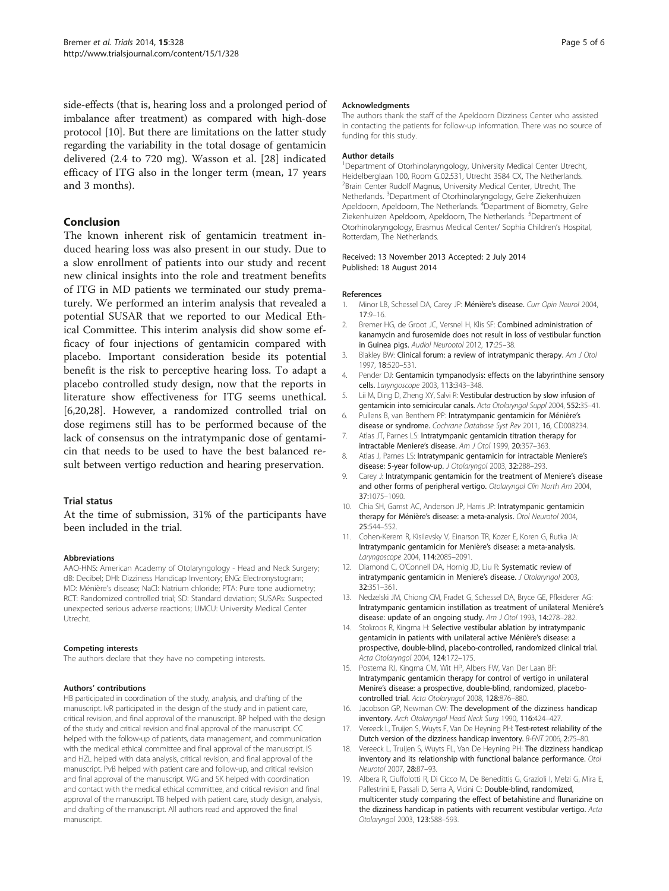<span id="page-4-0"></span>side-effects (that is, hearing loss and a prolonged period of imbalance after treatment) as compared with high-dose protocol [10]. But there are limitations on the latter study regarding the variability in the total dosage of gentamicin delivered (2.4 to 720 mg). Wasson et al. [[28](#page-5-0)] indicated efficacy of ITG also in the longer term (mean, 17 years and 3 months).

# Conclusion

The known inherent risk of gentamicin treatment induced hearing loss was also present in our study. Due to a slow enrollment of patients into our study and recent new clinical insights into the role and treatment benefits of ITG in MD patients we terminated our study prematurely. We performed an interim analysis that revealed a potential SUSAR that we reported to our Medical Ethical Committee. This interim analysis did show some efficacy of four injections of gentamicin compared with placebo. Important consideration beside its potential benefit is the risk to perceptive hearing loss. To adapt a placebo controlled study design, now that the reports in literature show effectiveness for ITG seems unethical. [6,[20,28\]](#page-5-0). However, a randomized controlled trial on dose regimens still has to be performed because of the lack of consensus on the intratympanic dose of gentamicin that needs to be used to have the best balanced result between vertigo reduction and hearing preservation.

#### Trial status

At the time of submission, 31% of the participants have been included in the trial.

#### Abbreviations

AAO-HNS: American Academy of Otolaryngology - Head and Neck Surgery; dB: Decibel; DHI: Dizziness Handicap Inventory; ENG: Electronystogram; MD: Ménière's disease; NaCl: Natrium chloride; PTA: Pure tone audiometry; RCT: Randomized controlled trial; SD: Standard deviation; SUSARs: Suspected unexpected serious adverse reactions; UMCU: University Medical Center Utrecht.

#### Competing interests

The authors declare that they have no competing interests.

#### Authors' contributions

HB participated in coordination of the study, analysis, and drafting of the manuscript. IvR participated in the design of the study and in patient care, critical revision, and final approval of the manuscript. BP helped with the design of the study and critical revision and final approval of the manuscript. CC helped with the follow-up of patients, data management, and communication with the medical ethical committee and final approval of the manuscript. IS and HZL helped with data analysis, critical revision, and final approval of the manuscript. PvB helped with patient care and follow-up, and critical revision and final approval of the manuscript. WG and SK helped with coordination and contact with the medical ethical committee, and critical revision and final approval of the manuscript. TB helped with patient care, study design, analysis, and drafting of the manuscript. All authors read and approved the final manuscript.

#### Acknowledgments

The authors thank the staff of the Apeldoorn Dizziness Center who assisted in contacting the patients for follow-up information. There was no source of funding for this study.

#### Author details

<sup>1</sup>Department of Otorhinolaryngology, University Medical Center Utrecht, Heidelberglaan 100, Room G.02.531, Utrecht 3584 CX, The Netherlands. <sup>2</sup> Brain Center Rudolf Magnus, University Medical Center, Utrecht, The Netherlands. <sup>3</sup>Department of Otorhinolaryngology, Gelre Ziekenhuizen Apeldoorn, Apeldoorn, The Netherlands. <sup>4</sup>Department of Biometry, Gelre Ziekenhuizen Apeldoorn, Apeldoorn, The Netherlands. <sup>5</sup>Department of Otorhinolaryngology, Erasmus Medical Center/ Sophia Children's Hospital, Rotterdam, The Netherlands.

#### Received: 13 November 2013 Accepted: 2 July 2014 Published: 18 August 2014

#### References

- 1. Minor LB, Schessel DA, Carey JP: Ménière's disease. Curr Opin Neurol 2004, 17:9–16.
- 2. Bremer HG, de Groot JC, Versnel H, Klis SF: Combined administration of kanamycin and furosemide does not result in loss of vestibular function in Guinea pigs. Audiol Neurootol 2012, 17:25–38.
- 3. Blakley BW: Clinical forum: a review of intratympanic therapy. Am J Otol 1997, 18:520–531.
- 4. Pender DJ: Gentamicin tympanoclysis: effects on the labyrinthine sensory cells. Laryngoscope 2003, 113:343–348.
- 5. Lii M, Ding D, Zheng XY, Salvi R: Vestibular destruction by slow infusion of gentamicin into semicircular canals. Acta Otolaryngol Suppl 2004, 552:35–41.
- 6. Pullens B, van Benthem PP: Intratympanic gentamicin for Ménière's disease or syndrome. Cochrane Database Syst Rev 2011, 16, CD008234.
- 7. Atlas JT, Parnes LS: Intratympanic gentamicin titration therapy for intractable Meniere's disease. Am J Otol 1999, 20:357–363.
- 8. Atlas J, Parnes LS: Intratympanic gentamicin for intractable Meniere's disease: 5-year follow-up. J Otolaryngol 2003, 32:288–293.
- 9. Carey J: Intratympanic gentamicin for the treatment of Meniere's disease and other forms of peripheral vertigo. Otolaryngol Clin North Am 2004, 37:1075–1090.
- 10. Chia SH, Gamst AC, Anderson JP, Harris JP: Intratympanic gentamicin therapy for Ménière's disease: a meta-analysis. Otol Neurotol 2004, 25:544–552.
- 11. Cohen-Kerem R, Kisilevsky V, Einarson TR, Kozer E, Koren G, Rutka JA: Intratympanic gentamicin for Menière's disease: a meta-analysis. Laryngoscope 2004, 114:2085–2091.
- 12. Diamond C, O'Connell DA, Hornig JD, Liu R: Systematic review of intratympanic gentamicin in Meniere's disease. J Otolaryngol 2003, 32:351–361.
- 13. Nedzelski JM, Chiong CM, Fradet G, Schessel DA, Bryce GE, Pfleiderer AG: Intratympanic gentamicin instillation as treatment of unilateral Menière's disease: update of an ongoing study. Am J Otol 1993, 14:278–282.
- 14. Stokroos R, Kingma H: Selective vestibular ablation by intratympanic gentamicin in patients with unilateral active Ménière's disease: a prospective, double-blind, placebo-controlled, randomized clinical trial. Acta Otolaryngol 2004, 124:172-175.
- 15. Postema RJ, Kingma CM, Wit HP, Albers FW, Van Der Laan BF: Intratympanic gentamicin therapy for control of vertigo in unilateral Menire's disease: a prospective, double-blind, randomized, placebocontrolled trial. Acta Otolaryngol 2008, 128:876–880.
- 16. Jacobson GP, Newman CW: The development of the dizziness handicap inventory. Arch Otolaryngol Head Neck Surg 1990, 116:424–427.
- 17. Vereeck L, Truijen S, Wuyts F, Van De Heyning PH: Test-retest reliability of the Dutch version of the dizziness handicap inventory. B-ENT 2006, 2:75–80.
- 18. Vereeck L, Truijen S, Wuyts FL, Van De Heyning PH: The dizziness handicap inventory and its relationship with functional balance performance. Otol Neurotol 2007, 28:87–93.
- 19. Albera R, Ciuffolotti R, Di Cicco M, De Benedittis G, Grazioli I, Melzi G, Mira E, Pallestrini E, Passali D, Serra A, Vicini C: Double-blind, randomized, multicenter study comparing the effect of betahistine and flunarizine on the dizziness handicap in patients with recurrent vestibular vertigo. Acta Otolaryngol 2003, 123:588–593.